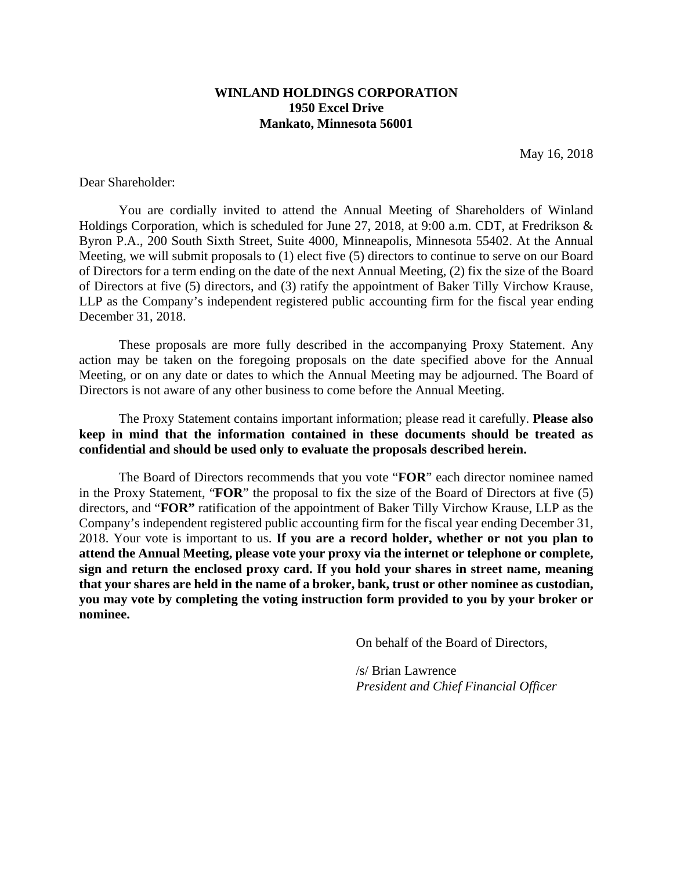# **WINLAND HOLDINGS CORPORATION 1950 Excel Drive Mankato, Minnesota 56001**

May 16, 2018

Dear Shareholder:

You are cordially invited to attend the Annual Meeting of Shareholders of Winland Holdings Corporation, which is scheduled for June 27, 2018, at 9:00 a.m. CDT, at Fredrikson & Byron P.A., 200 South Sixth Street, Suite 4000, Minneapolis, Minnesota 55402. At the Annual Meeting, we will submit proposals to (1) elect five (5) directors to continue to serve on our Board of Directors for a term ending on the date of the next Annual Meeting, (2) fix the size of the Board of Directors at five (5) directors, and (3) ratify the appointment of Baker Tilly Virchow Krause, LLP as the Company's independent registered public accounting firm for the fiscal year ending December 31, 2018.

These proposals are more fully described in the accompanying Proxy Statement. Any action may be taken on the foregoing proposals on the date specified above for the Annual Meeting, or on any date or dates to which the Annual Meeting may be adjourned. The Board of Directors is not aware of any other business to come before the Annual Meeting.

The Proxy Statement contains important information; please read it carefully. **Please also keep in mind that the information contained in these documents should be treated as confidential and should be used only to evaluate the proposals described herein.** 

The Board of Directors recommends that you vote "**FOR**" each director nominee named in the Proxy Statement, "**FOR**" the proposal to fix the size of the Board of Directors at five (5) directors, and "**FOR"** ratification of the appointment of Baker Tilly Virchow Krause, LLP as the Company's independent registered public accounting firm for the fiscal year ending December 31, 2018. Your vote is important to us. **If you are a record holder, whether or not you plan to attend the Annual Meeting, please vote your proxy via the internet or telephone or complete, sign and return the enclosed proxy card. If you hold your shares in street name, meaning that your shares are held in the name of a broker, bank, trust or other nominee as custodian, you may vote by completing the voting instruction form provided to you by your broker or nominee.** 

On behalf of the Board of Directors,

/s/ Brian Lawrence *President and Chief Financial Officer*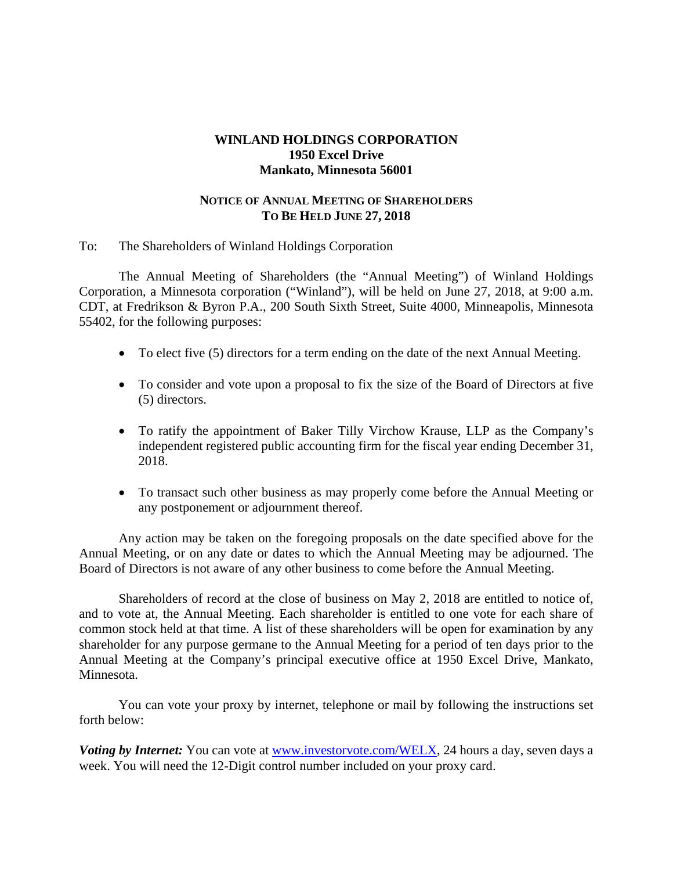# **WINLAND HOLDINGS CORPORATION 1950 Excel Drive Mankato, Minnesota 56001**

# **NOTICE OF ANNUAL MEETING OF SHAREHOLDERS TO BE HELD JUNE 27, 2018**

# To: The Shareholders of Winland Holdings Corporation

The Annual Meeting of Shareholders (the "Annual Meeting") of Winland Holdings Corporation, a Minnesota corporation ("Winland"), will be held on June 27, 2018, at 9:00 a.m. CDT, at Fredrikson & Byron P.A., 200 South Sixth Street, Suite 4000, Minneapolis, Minnesota 55402, for the following purposes:

- To elect five (5) directors for a term ending on the date of the next Annual Meeting.
- To consider and vote upon a proposal to fix the size of the Board of Directors at five (5) directors.
- To ratify the appointment of Baker Tilly Virchow Krause, LLP as the Company's independent registered public accounting firm for the fiscal year ending December 31, 2018.
- To transact such other business as may properly come before the Annual Meeting or any postponement or adjournment thereof.

Any action may be taken on the foregoing proposals on the date specified above for the Annual Meeting, or on any date or dates to which the Annual Meeting may be adjourned. The Board of Directors is not aware of any other business to come before the Annual Meeting.

Shareholders of record at the close of business on May 2, 2018 are entitled to notice of, and to vote at, the Annual Meeting. Each shareholder is entitled to one vote for each share of common stock held at that time. A list of these shareholders will be open for examination by any shareholder for any purpose germane to the Annual Meeting for a period of ten days prior to the Annual Meeting at the Company's principal executive office at 1950 Excel Drive, Mankato, Minnesota.

You can vote your proxy by internet, telephone or mail by following the instructions set forth below:

*Voting by Internet:* You can vote at www.investorvote.com/WELX, 24 hours a day, seven days a week. You will need the 12-Digit control number included on your proxy card.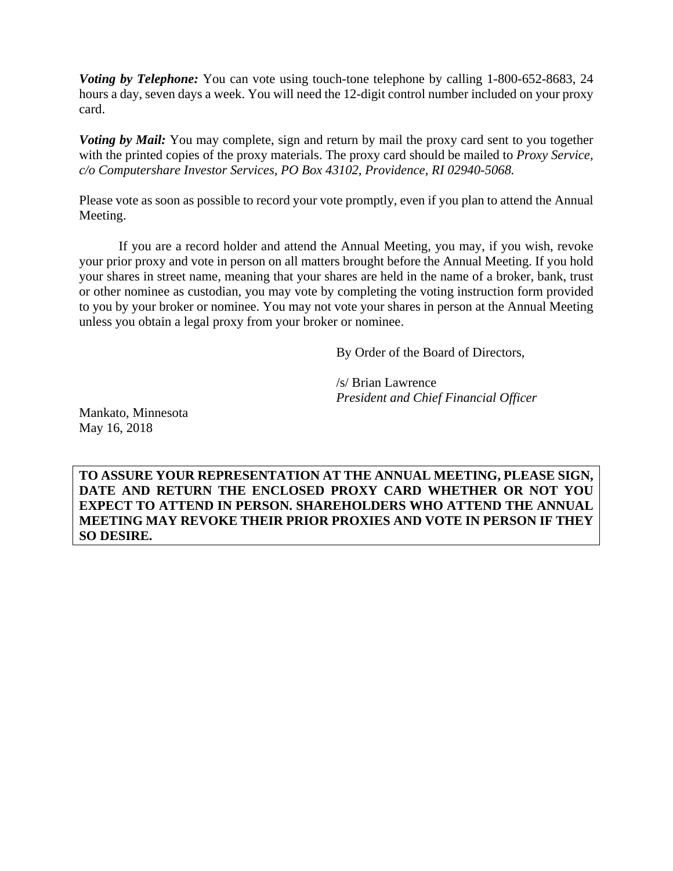*Voting by Telephone:* You can vote using touch-tone telephone by calling 1-800-652-8683, 24 hours a day, seven days a week. You will need the 12-digit control number included on your proxy card.

*Voting by Mail:* You may complete, sign and return by mail the proxy card sent to you together with the printed copies of the proxy materials. The proxy card should be mailed to *Proxy Service, c/o Computershare Investor Services, PO Box 43102, Providence, RI 02940-5068.*

Please vote as soon as possible to record your vote promptly, even if you plan to attend the Annual Meeting.

If you are a record holder and attend the Annual Meeting, you may, if you wish, revoke your prior proxy and vote in person on all matters brought before the Annual Meeting. If you hold your shares in street name, meaning that your shares are held in the name of a broker, bank, trust or other nominee as custodian, you may vote by completing the voting instruction form provided to you by your broker or nominee. You may not vote your shares in person at the Annual Meeting unless you obtain a legal proxy from your broker or nominee.

By Order of the Board of Directors,

/s/ Brian Lawrence *President and Chief Financial Officer* 

Mankato, Minnesota May 16, 2018

**TO ASSURE YOUR REPRESENTATION AT THE ANNUAL MEETING, PLEASE SIGN, DATE AND RETURN THE ENCLOSED PROXY CARD WHETHER OR NOT YOU EXPECT TO ATTEND IN PERSON. SHAREHOLDERS WHO ATTEND THE ANNUAL MEETING MAY REVOKE THEIR PRIOR PROXIES AND VOTE IN PERSON IF THEY SO DESIRE.**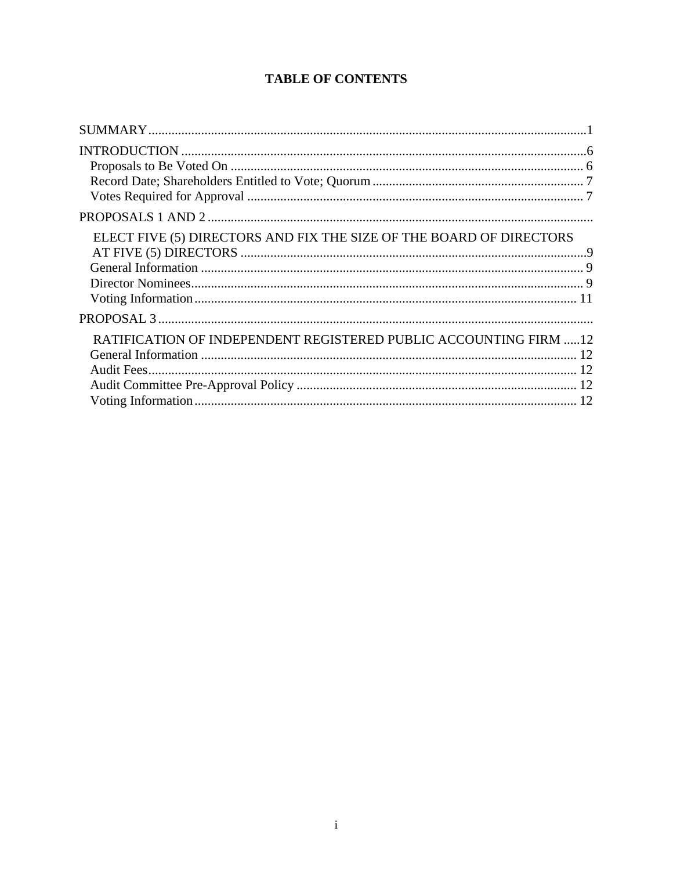# **TABLE OF CONTENTS**

| ELECT FIVE (5) DIRECTORS AND FIX THE SIZE OF THE BOARD OF DIRECTORS |  |
|---------------------------------------------------------------------|--|
|                                                                     |  |
| RATIFICATION OF INDEPENDENT REGISTERED PUBLIC ACCOUNTING FIRM  12   |  |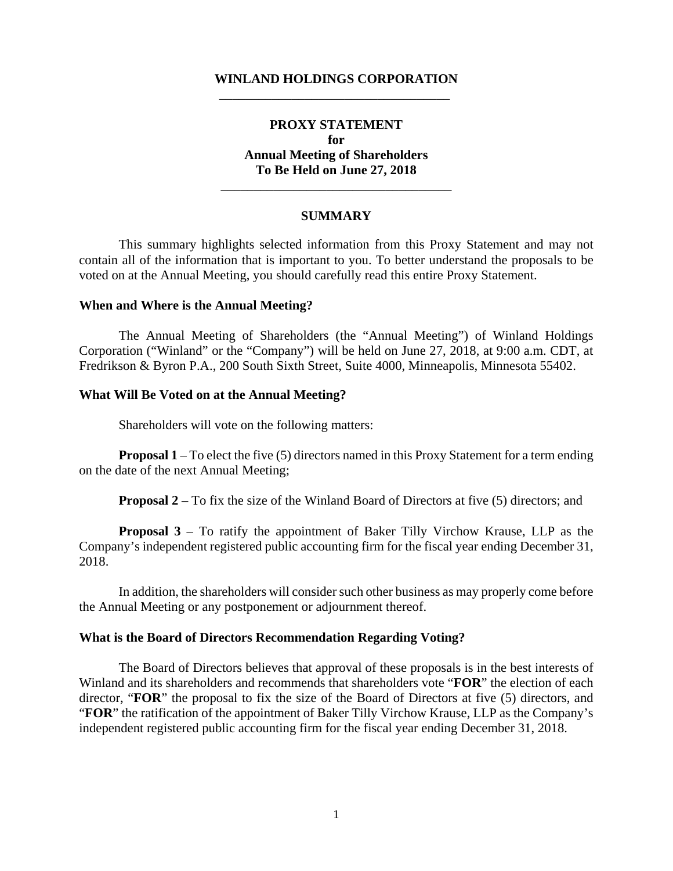# **WINLAND HOLDINGS CORPORATION**  \_\_\_\_\_\_\_\_\_\_\_\_\_\_\_\_\_\_\_\_\_\_\_\_\_\_\_\_\_\_\_\_\_\_\_

# **PROXY STATEMENT for Annual Meeting of Shareholders To Be Held on June 27, 2018**

#### **SUMMARY**

\_\_\_\_\_\_\_\_\_\_\_\_\_\_\_\_\_\_\_\_\_\_\_\_\_\_\_\_\_\_\_\_\_\_\_

This summary highlights selected information from this Proxy Statement and may not contain all of the information that is important to you. To better understand the proposals to be voted on at the Annual Meeting, you should carefully read this entire Proxy Statement.

#### **When and Where is the Annual Meeting?**

The Annual Meeting of Shareholders (the "Annual Meeting") of Winland Holdings Corporation ("Winland" or the "Company") will be held on June 27, 2018, at 9:00 a.m. CDT, at Fredrikson & Byron P.A., 200 South Sixth Street, Suite 4000, Minneapolis, Minnesota 55402.

### **What Will Be Voted on at the Annual Meeting?**

Shareholders will vote on the following matters:

**Proposal 1** – To elect the five (5) directors named in this Proxy Statement for a term ending on the date of the next Annual Meeting;

**Proposal 2** – To fix the size of the Winland Board of Directors at five (5) directors; and

**Proposal 3** – To ratify the appointment of Baker Tilly Virchow Krause, LLP as the Company's independent registered public accounting firm for the fiscal year ending December 31, 2018.

In addition, the shareholders will consider such other business as may properly come before the Annual Meeting or any postponement or adjournment thereof.

### **What is the Board of Directors Recommendation Regarding Voting?**

The Board of Directors believes that approval of these proposals is in the best interests of Winland and its shareholders and recommends that shareholders vote "**FOR**" the election of each director, "**FOR**" the proposal to fix the size of the Board of Directors at five (5) directors, and "**FOR**" the ratification of the appointment of Baker Tilly Virchow Krause, LLP as the Company's independent registered public accounting firm for the fiscal year ending December 31, 2018.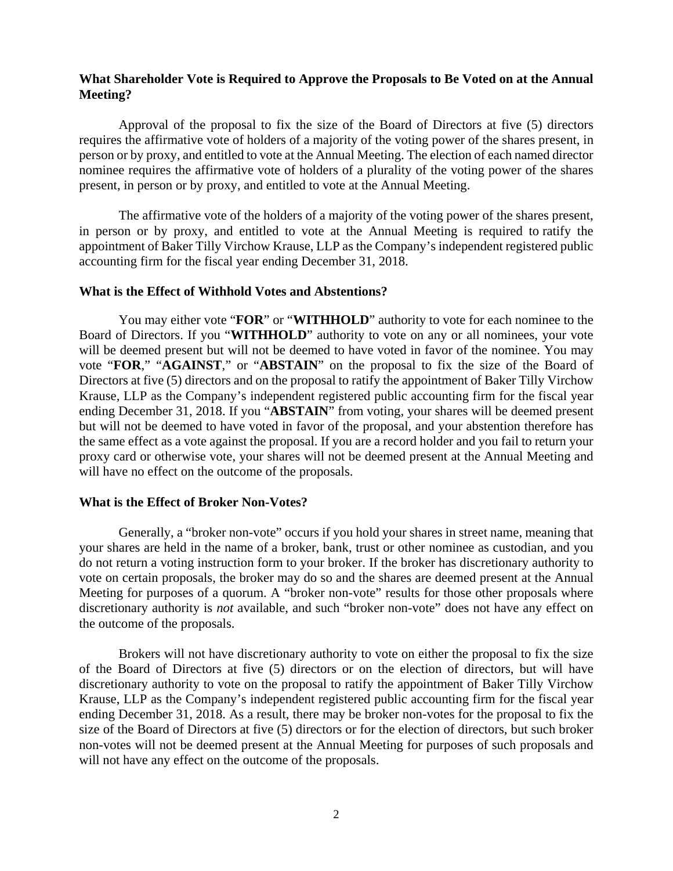# **What Shareholder Vote is Required to Approve the Proposals to Be Voted on at the Annual Meeting?**

Approval of the proposal to fix the size of the Board of Directors at five (5) directors requires the affirmative vote of holders of a majority of the voting power of the shares present, in person or by proxy, and entitled to vote at the Annual Meeting. The election of each named director nominee requires the affirmative vote of holders of a plurality of the voting power of the shares present, in person or by proxy, and entitled to vote at the Annual Meeting.

 The affirmative vote of the holders of a majority of the voting power of the shares present, in person or by proxy, and entitled to vote at the Annual Meeting is required to ratify the appointment of Baker Tilly Virchow Krause, LLP as the Company's independent registered public accounting firm for the fiscal year ending December 31, 2018.

### **What is the Effect of Withhold Votes and Abstentions?**

You may either vote "**FOR**" or "**WITHHOLD**" authority to vote for each nominee to the Board of Directors. If you "**WITHHOLD**" authority to vote on any or all nominees, your vote will be deemed present but will not be deemed to have voted in favor of the nominee. You may vote "**FOR**," "**AGAINST**," or "**ABSTAIN**" on the proposal to fix the size of the Board of Directors at five (5) directors and on the proposal to ratify the appointment of Baker Tilly Virchow Krause, LLP as the Company's independent registered public accounting firm for the fiscal year ending December 31, 2018. If you "**ABSTAIN**" from voting, your shares will be deemed present but will not be deemed to have voted in favor of the proposal, and your abstention therefore has the same effect as a vote against the proposal. If you are a record holder and you fail to return your proxy card or otherwise vote, your shares will not be deemed present at the Annual Meeting and will have no effect on the outcome of the proposals.

# **What is the Effect of Broker Non-Votes?**

Generally, a "broker non-vote" occurs if you hold your shares in street name, meaning that your shares are held in the name of a broker, bank, trust or other nominee as custodian, and you do not return a voting instruction form to your broker. If the broker has discretionary authority to vote on certain proposals, the broker may do so and the shares are deemed present at the Annual Meeting for purposes of a quorum. A "broker non-vote" results for those other proposals where discretionary authority is *not* available, and such "broker non-vote" does not have any effect on the outcome of the proposals.

Brokers will not have discretionary authority to vote on either the proposal to fix the size of the Board of Directors at five (5) directors or on the election of directors, but will have discretionary authority to vote on the proposal to ratify the appointment of Baker Tilly Virchow Krause, LLP as the Company's independent registered public accounting firm for the fiscal year ending December 31, 2018. As a result, there may be broker non-votes for the proposal to fix the size of the Board of Directors at five (5) directors or for the election of directors, but such broker non-votes will not be deemed present at the Annual Meeting for purposes of such proposals and will not have any effect on the outcome of the proposals.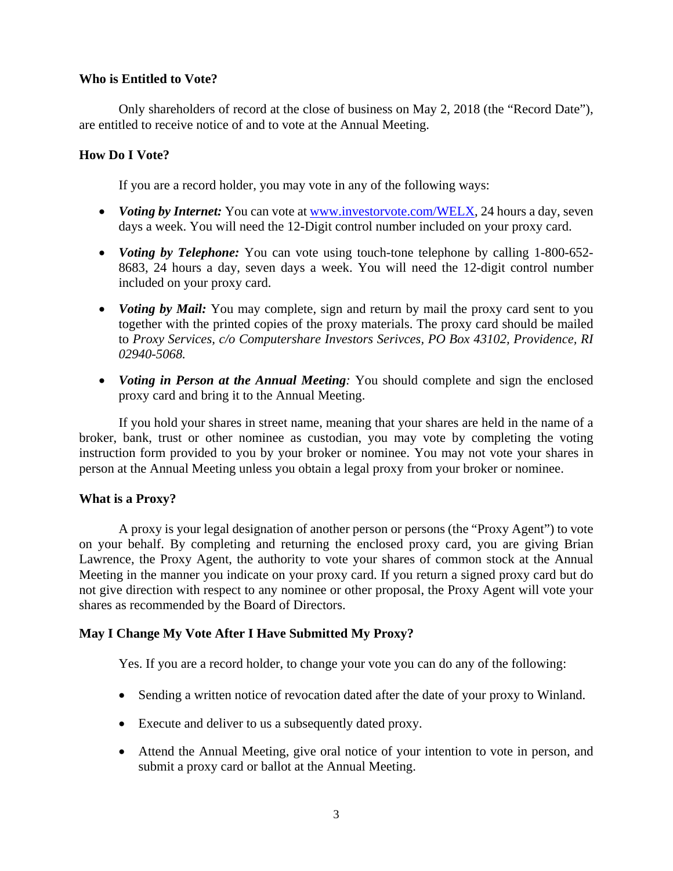# **Who is Entitled to Vote?**

Only shareholders of record at the close of business on May 2, 2018 (the "Record Date"), are entitled to receive notice of and to vote at the Annual Meeting.

# **How Do I Vote?**

If you are a record holder, you may vote in any of the following ways:

- *Voting by Internet:* You can vote at www.investorvote.com/WELX, 24 hours a day, seven days a week. You will need the 12-Digit control number included on your proxy card.
- *Voting by Telephone:* You can vote using touch-tone telephone by calling 1-800-652- 8683, 24 hours a day, seven days a week. You will need the 12-digit control number included on your proxy card.
- *Voting by Mail:* You may complete, sign and return by mail the proxy card sent to you together with the printed copies of the proxy materials. The proxy card should be mailed to *Proxy Services, c/o Computershare Investors Serivces, PO Box 43102, Providence, RI 02940-5068.*
- *Voting in Person at the Annual Meeting:* You should complete and sign the enclosed proxy card and bring it to the Annual Meeting.

If you hold your shares in street name, meaning that your shares are held in the name of a broker, bank, trust or other nominee as custodian, you may vote by completing the voting instruction form provided to you by your broker or nominee. You may not vote your shares in person at the Annual Meeting unless you obtain a legal proxy from your broker or nominee.

# **What is a Proxy?**

A proxy is your legal designation of another person or persons (the "Proxy Agent") to vote on your behalf. By completing and returning the enclosed proxy card, you are giving Brian Lawrence, the Proxy Agent, the authority to vote your shares of common stock at the Annual Meeting in the manner you indicate on your proxy card. If you return a signed proxy card but do not give direction with respect to any nominee or other proposal, the Proxy Agent will vote your shares as recommended by the Board of Directors.

# **May I Change My Vote After I Have Submitted My Proxy?**

Yes. If you are a record holder, to change your vote you can do any of the following:

- Sending a written notice of revocation dated after the date of your proxy to Winland.
- Execute and deliver to us a subsequently dated proxy.
- Attend the Annual Meeting, give oral notice of your intention to vote in person, and submit a proxy card or ballot at the Annual Meeting.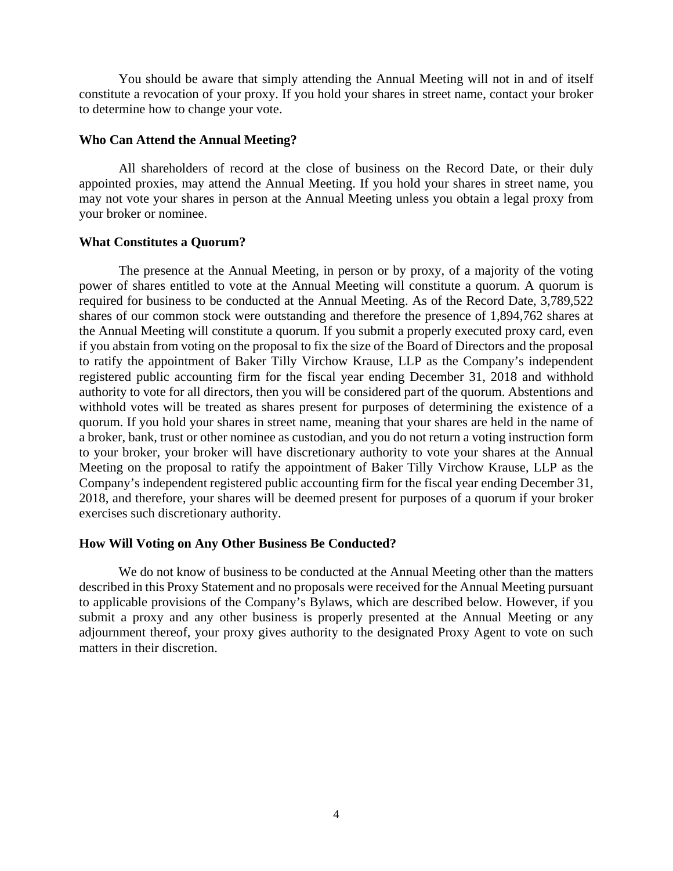You should be aware that simply attending the Annual Meeting will not in and of itself constitute a revocation of your proxy. If you hold your shares in street name, contact your broker to determine how to change your vote.

### **Who Can Attend the Annual Meeting?**

All shareholders of record at the close of business on the Record Date, or their duly appointed proxies, may attend the Annual Meeting. If you hold your shares in street name, you may not vote your shares in person at the Annual Meeting unless you obtain a legal proxy from your broker or nominee.

### **What Constitutes a Quorum?**

The presence at the Annual Meeting, in person or by proxy, of a majority of the voting power of shares entitled to vote at the Annual Meeting will constitute a quorum. A quorum is required for business to be conducted at the Annual Meeting. As of the Record Date, 3,789,522 shares of our common stock were outstanding and therefore the presence of 1,894,762 shares at the Annual Meeting will constitute a quorum. If you submit a properly executed proxy card, even if you abstain from voting on the proposal to fix the size of the Board of Directors and the proposal to ratify the appointment of Baker Tilly Virchow Krause, LLP as the Company's independent registered public accounting firm for the fiscal year ending December 31, 2018 and withhold authority to vote for all directors, then you will be considered part of the quorum. Abstentions and withhold votes will be treated as shares present for purposes of determining the existence of a quorum. If you hold your shares in street name, meaning that your shares are held in the name of a broker, bank, trust or other nominee as custodian, and you do not return a voting instruction form to your broker, your broker will have discretionary authority to vote your shares at the Annual Meeting on the proposal to ratify the appointment of Baker Tilly Virchow Krause, LLP as the Company's independent registered public accounting firm for the fiscal year ending December 31, 2018, and therefore, your shares will be deemed present for purposes of a quorum if your broker exercises such discretionary authority.

#### **How Will Voting on Any Other Business Be Conducted?**

 We do not know of business to be conducted at the Annual Meeting other than the matters described in this Proxy Statement and no proposals were received for the Annual Meeting pursuant to applicable provisions of the Company's Bylaws, which are described below. However, if you submit a proxy and any other business is properly presented at the Annual Meeting or any adjournment thereof, your proxy gives authority to the designated Proxy Agent to vote on such matters in their discretion.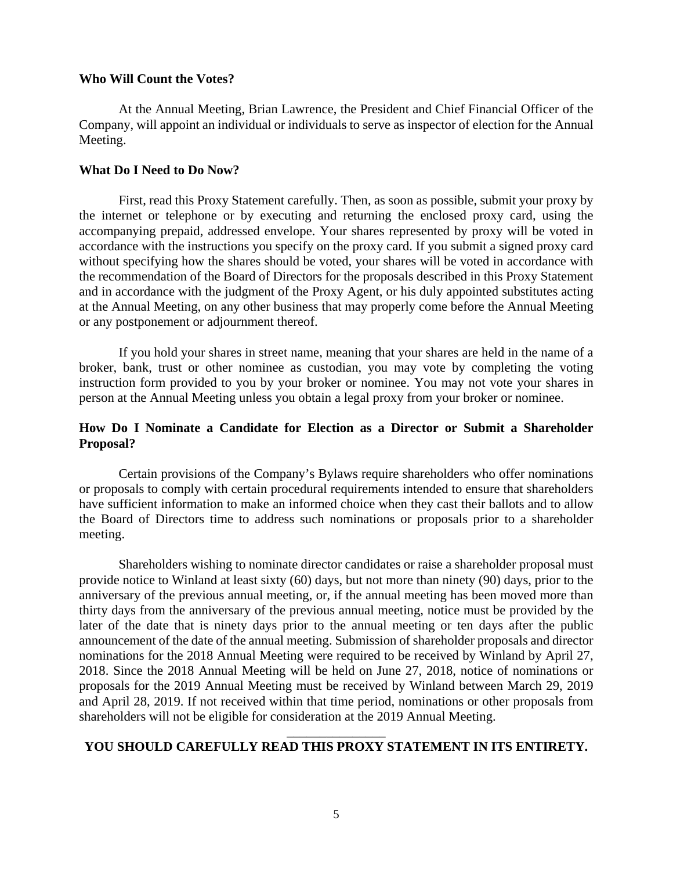### **Who Will Count the Votes?**

At the Annual Meeting, Brian Lawrence, the President and Chief Financial Officer of the Company, will appoint an individual or individuals to serve as inspector of election for the Annual Meeting.

### **What Do I Need to Do Now?**

First, read this Proxy Statement carefully. Then, as soon as possible, submit your proxy by the internet or telephone or by executing and returning the enclosed proxy card, using the accompanying prepaid, addressed envelope. Your shares represented by proxy will be voted in accordance with the instructions you specify on the proxy card. If you submit a signed proxy card without specifying how the shares should be voted, your shares will be voted in accordance with the recommendation of the Board of Directors for the proposals described in this Proxy Statement and in accordance with the judgment of the Proxy Agent, or his duly appointed substitutes acting at the Annual Meeting, on any other business that may properly come before the Annual Meeting or any postponement or adjournment thereof.

If you hold your shares in street name, meaning that your shares are held in the name of a broker, bank, trust or other nominee as custodian, you may vote by completing the voting instruction form provided to you by your broker or nominee. You may not vote your shares in person at the Annual Meeting unless you obtain a legal proxy from your broker or nominee.

# **How Do I Nominate a Candidate for Election as a Director or Submit a Shareholder Proposal?**

Certain provisions of the Company's Bylaws require shareholders who offer nominations or proposals to comply with certain procedural requirements intended to ensure that shareholders have sufficient information to make an informed choice when they cast their ballots and to allow the Board of Directors time to address such nominations or proposals prior to a shareholder meeting.

Shareholders wishing to nominate director candidates or raise a shareholder proposal must provide notice to Winland at least sixty (60) days, but not more than ninety (90) days, prior to the anniversary of the previous annual meeting, or, if the annual meeting has been moved more than thirty days from the anniversary of the previous annual meeting, notice must be provided by the later of the date that is ninety days prior to the annual meeting or ten days after the public announcement of the date of the annual meeting. Submission of shareholder proposals and director nominations for the 2018 Annual Meeting were required to be received by Winland by April 27, 2018. Since the 2018 Annual Meeting will be held on June 27, 2018, notice of nominations or proposals for the 2019 Annual Meeting must be received by Winland between March 29, 2019 and April 28, 2019. If not received within that time period, nominations or other proposals from shareholders will not be eligible for consideration at the 2019 Annual Meeting.

# \_\_\_\_\_\_\_\_\_\_\_\_\_\_\_ **YOU SHOULD CAREFULLY READ THIS PROXY STATEMENT IN ITS ENTIRETY.**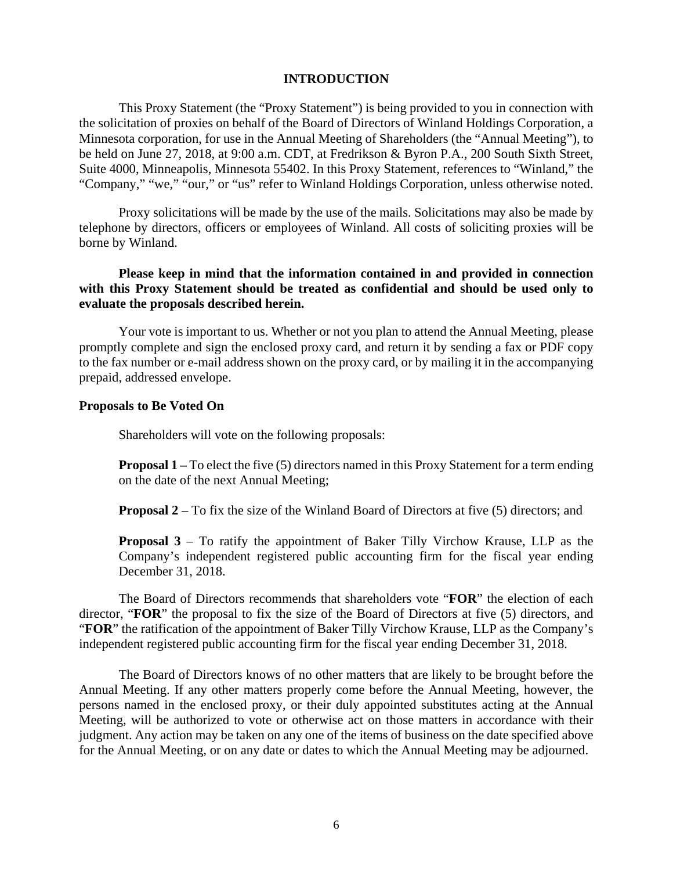### **INTRODUCTION**

This Proxy Statement (the "Proxy Statement") is being provided to you in connection with the solicitation of proxies on behalf of the Board of Directors of Winland Holdings Corporation, a Minnesota corporation, for use in the Annual Meeting of Shareholders (the "Annual Meeting"), to be held on June 27, 2018, at 9:00 a.m. CDT, at Fredrikson & Byron P.A., 200 South Sixth Street, Suite 4000, Minneapolis, Minnesota 55402. In this Proxy Statement, references to "Winland," the "Company," "we," "our," or "us" refer to Winland Holdings Corporation, unless otherwise noted.

Proxy solicitations will be made by the use of the mails. Solicitations may also be made by telephone by directors, officers or employees of Winland. All costs of soliciting proxies will be borne by Winland.

# **Please keep in mind that the information contained in and provided in connection with this Proxy Statement should be treated as confidential and should be used only to evaluate the proposals described herein.**

Your vote is important to us. Whether or not you plan to attend the Annual Meeting, please promptly complete and sign the enclosed proxy card, and return it by sending a fax or PDF copy to the fax number or e-mail address shown on the proxy card, or by mailing it in the accompanying prepaid, addressed envelope.

### **Proposals to Be Voted On**

Shareholders will vote on the following proposals:

**Proposal 1** – To elect the five (5) directors named in this Proxy Statement for a term ending on the date of the next Annual Meeting;

**Proposal 2** – To fix the size of the Winland Board of Directors at five (5) directors; and

**Proposal 3** – To ratify the appointment of Baker Tilly Virchow Krause, LLP as the Company's independent registered public accounting firm for the fiscal year ending December 31, 2018.

The Board of Directors recommends that shareholders vote "**FOR**" the election of each director, "**FOR**" the proposal to fix the size of the Board of Directors at five (5) directors, and "**FOR**" the ratification of the appointment of Baker Tilly Virchow Krause, LLP as the Company's independent registered public accounting firm for the fiscal year ending December 31, 2018.

The Board of Directors knows of no other matters that are likely to be brought before the Annual Meeting. If any other matters properly come before the Annual Meeting, however, the persons named in the enclosed proxy, or their duly appointed substitutes acting at the Annual Meeting, will be authorized to vote or otherwise act on those matters in accordance with their judgment. Any action may be taken on any one of the items of business on the date specified above for the Annual Meeting, or on any date or dates to which the Annual Meeting may be adjourned.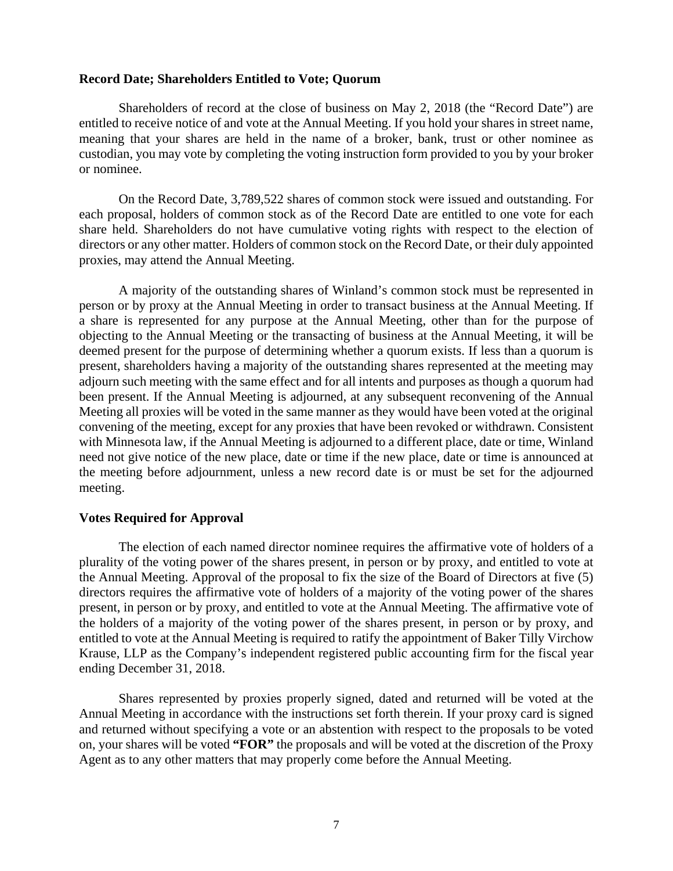### **Record Date; Shareholders Entitled to Vote; Quorum**

Shareholders of record at the close of business on May 2, 2018 (the "Record Date") are entitled to receive notice of and vote at the Annual Meeting. If you hold your shares in street name, meaning that your shares are held in the name of a broker, bank, trust or other nominee as custodian, you may vote by completing the voting instruction form provided to you by your broker or nominee.

On the Record Date, 3,789,522 shares of common stock were issued and outstanding. For each proposal, holders of common stock as of the Record Date are entitled to one vote for each share held. Shareholders do not have cumulative voting rights with respect to the election of directors or any other matter. Holders of common stock on the Record Date, or their duly appointed proxies, may attend the Annual Meeting.

A majority of the outstanding shares of Winland's common stock must be represented in person or by proxy at the Annual Meeting in order to transact business at the Annual Meeting. If a share is represented for any purpose at the Annual Meeting, other than for the purpose of objecting to the Annual Meeting or the transacting of business at the Annual Meeting, it will be deemed present for the purpose of determining whether a quorum exists. If less than a quorum is present, shareholders having a majority of the outstanding shares represented at the meeting may adjourn such meeting with the same effect and for all intents and purposes as though a quorum had been present. If the Annual Meeting is adjourned, at any subsequent reconvening of the Annual Meeting all proxies will be voted in the same manner as they would have been voted at the original convening of the meeting, except for any proxies that have been revoked or withdrawn. Consistent with Minnesota law, if the Annual Meeting is adjourned to a different place, date or time, Winland need not give notice of the new place, date or time if the new place, date or time is announced at the meeting before adjournment, unless a new record date is or must be set for the adjourned meeting.

### **Votes Required for Approval**

The election of each named director nominee requires the affirmative vote of holders of a plurality of the voting power of the shares present, in person or by proxy, and entitled to vote at the Annual Meeting. Approval of the proposal to fix the size of the Board of Directors at five (5) directors requires the affirmative vote of holders of a majority of the voting power of the shares present, in person or by proxy, and entitled to vote at the Annual Meeting. The affirmative vote of the holders of a majority of the voting power of the shares present, in person or by proxy, and entitled to vote at the Annual Meeting is required to ratify the appointment of Baker Tilly Virchow Krause, LLP as the Company's independent registered public accounting firm for the fiscal year ending December 31, 2018.

Shares represented by proxies properly signed, dated and returned will be voted at the Annual Meeting in accordance with the instructions set forth therein. If your proxy card is signed and returned without specifying a vote or an abstention with respect to the proposals to be voted on, your shares will be voted **"FOR"** the proposals and will be voted at the discretion of the Proxy Agent as to any other matters that may properly come before the Annual Meeting.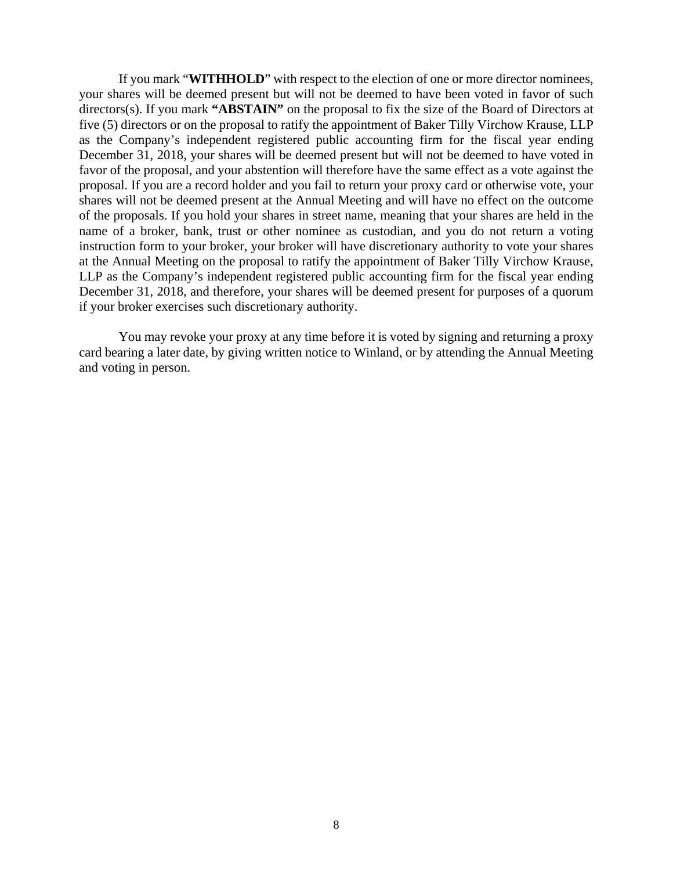If you mark "**WITHHOLD**" with respect to the election of one or more director nominees, your shares will be deemed present but will not be deemed to have been voted in favor of such directors(s). If you mark "ABSTAIN" on the proposal to fix the size of the Board of Directors at five (5) directors or on the proposal to ratify the appointment of Baker Tilly Virchow Krause, LLP as the Company's independent registered public accounting firm for the fiscal year ending December 31, 2018, your shares will be deemed present but will not be deemed to have voted in favor of the proposal, and your abstention will therefore have the same effect as a vote against the proposal. If you are a record holder and you fail to return your proxy card or otherwise vote, your shares will not be deemed present at the Annual Meeting and will have no effect on the outcome of the proposals. If you hold your shares in street name, meaning that your shares are held in the name of a broker, bank, trust or other nominee as custodian, and you do not return a voting instruction form to your broker, your broker will have discretionary authority to vote your shares at the Annual Meeting on the proposal to ratify the appointment of Baker Tilly Virchow Krause, LLP as the Company's independent registered public accounting firm for the fiscal year ending December 31, 2018, and therefore, your shares will be deemed present for purposes of a quorum if your broker exercises such discretionary authority.

You may revoke your proxy at any time before it is voted by signing and returning a proxy card bearing a later date, by giving written notice to Winland, or by attending the Annual Meeting and voting in person.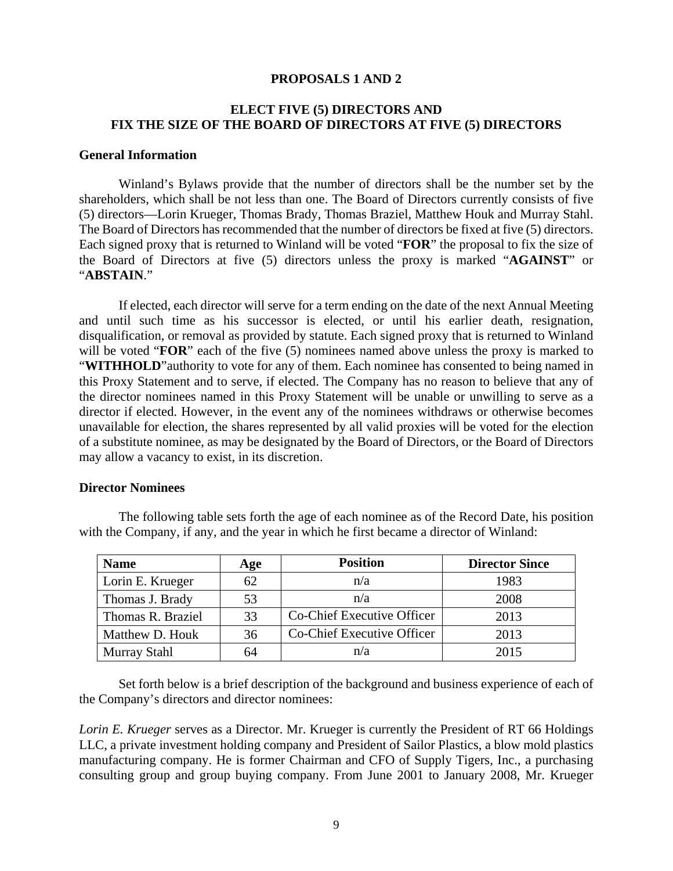### **PROPOSALS 1 AND 2**

# **ELECT FIVE (5) DIRECTORS AND FIX THE SIZE OF THE BOARD OF DIRECTORS AT FIVE (5) DIRECTORS**

### **General Information**

Winland's Bylaws provide that the number of directors shall be the number set by the shareholders, which shall be not less than one. The Board of Directors currently consists of five (5) directors—Lorin Krueger, Thomas Brady, Thomas Braziel, Matthew Houk and Murray Stahl. The Board of Directors has recommended that the number of directors be fixed at five (5) directors. Each signed proxy that is returned to Winland will be voted "**FOR**" the proposal to fix the size of the Board of Directors at five (5) directors unless the proxy is marked "**AGAINST**" or "**ABSTAIN**."

If elected, each director will serve for a term ending on the date of the next Annual Meeting and until such time as his successor is elected, or until his earlier death, resignation, disqualification, or removal as provided by statute. Each signed proxy that is returned to Winland will be voted "**FOR**" each of the five (5) nominees named above unless the proxy is marked to "WITHHOLD" authority to vote for any of them. Each nominee has consented to being named in this Proxy Statement and to serve, if elected. The Company has no reason to believe that any of the director nominees named in this Proxy Statement will be unable or unwilling to serve as a director if elected. However, in the event any of the nominees withdraws or otherwise becomes unavailable for election, the shares represented by all valid proxies will be voted for the election of a substitute nominee, as may be designated by the Board of Directors, or the Board of Directors may allow a vacancy to exist, in its discretion.

#### **Director Nominees**

| <b>Name</b>       | Age | <b>Position</b>            | <b>Director Since</b> |
|-------------------|-----|----------------------------|-----------------------|
| Lorin E. Krueger  | 62  | n/a                        | 1983                  |
| Thomas J. Brady   | 53  | n/a                        | 2008                  |
| Thomas R. Braziel | 33  | Co-Chief Executive Officer | 2013                  |
| Matthew D. Houk   | 36  | Co-Chief Executive Officer | 2013                  |
| Murray Stahl      | 64  | n/a                        | 2015                  |

The following table sets forth the age of each nominee as of the Record Date, his position with the Company, if any, and the year in which he first became a director of Winland:

Set forth below is a brief description of the background and business experience of each of the Company's directors and director nominees:

*Lorin E. Krueger* serves as a Director. Mr. Krueger is currently the President of RT 66 Holdings LLC, a private investment holding company and President of Sailor Plastics, a blow mold plastics manufacturing company. He is former Chairman and CFO of Supply Tigers, Inc., a purchasing consulting group and group buying company. From June 2001 to January 2008, Mr. Krueger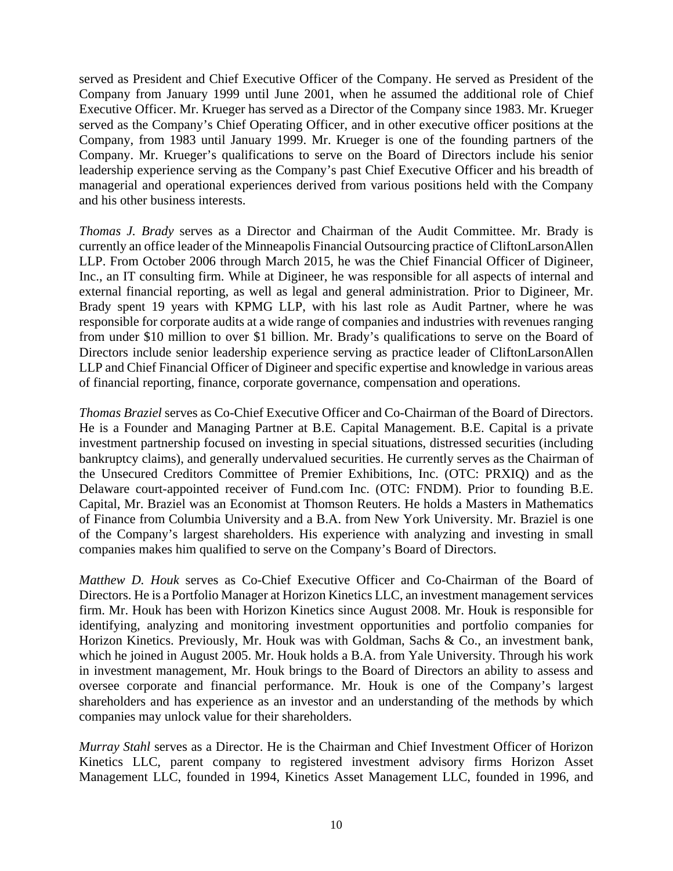served as President and Chief Executive Officer of the Company. He served as President of the Company from January 1999 until June 2001, when he assumed the additional role of Chief Executive Officer. Mr. Krueger has served as a Director of the Company since 1983. Mr. Krueger served as the Company's Chief Operating Officer, and in other executive officer positions at the Company, from 1983 until January 1999. Mr. Krueger is one of the founding partners of the Company. Mr. Krueger's qualifications to serve on the Board of Directors include his senior leadership experience serving as the Company's past Chief Executive Officer and his breadth of managerial and operational experiences derived from various positions held with the Company and his other business interests.

*Thomas J. Brady* serves as a Director and Chairman of the Audit Committee. Mr. Brady is currently an office leader of the Minneapolis Financial Outsourcing practice of CliftonLarsonAllen LLP. From October 2006 through March 2015, he was the Chief Financial Officer of Digineer, Inc., an IT consulting firm. While at Digineer, he was responsible for all aspects of internal and external financial reporting, as well as legal and general administration. Prior to Digineer, Mr. Brady spent 19 years with KPMG LLP, with his last role as Audit Partner, where he was responsible for corporate audits at a wide range of companies and industries with revenues ranging from under \$10 million to over \$1 billion. Mr. Brady's qualifications to serve on the Board of Directors include senior leadership experience serving as practice leader of CliftonLarsonAllen LLP and Chief Financial Officer of Digineer and specific expertise and knowledge in various areas of financial reporting, finance, corporate governance, compensation and operations.

*Thomas Braziel* serves as Co-Chief Executive Officer and Co-Chairman of the Board of Directors. He is a Founder and Managing Partner at B.E. Capital Management. B.E. Capital is a private investment partnership focused on investing in special situations, distressed securities (including bankruptcy claims), and generally undervalued securities. He currently serves as the Chairman of the Unsecured Creditors Committee of Premier Exhibitions, Inc. (OTC: PRXIQ) and as the Delaware court-appointed receiver of Fund.com Inc. (OTC: FNDM). Prior to founding B.E. Capital, Mr. Braziel was an Economist at Thomson Reuters. He holds a Masters in Mathematics of Finance from Columbia University and a B.A. from New York University. Mr. Braziel is one of the Company's largest shareholders. His experience with analyzing and investing in small companies makes him qualified to serve on the Company's Board of Directors.

*Matthew D. Houk* serves as Co-Chief Executive Officer and Co-Chairman of the Board of Directors. He is a Portfolio Manager at Horizon Kinetics LLC, an investment management services firm. Mr. Houk has been with Horizon Kinetics since August 2008. Mr. Houk is responsible for identifying, analyzing and monitoring investment opportunities and portfolio companies for Horizon Kinetics. Previously, Mr. Houk was with Goldman, Sachs & Co., an investment bank, which he joined in August 2005. Mr. Houk holds a B.A. from Yale University. Through his work in investment management, Mr. Houk brings to the Board of Directors an ability to assess and oversee corporate and financial performance. Mr. Houk is one of the Company's largest shareholders and has experience as an investor and an understanding of the methods by which companies may unlock value for their shareholders.

*Murray Stahl* serves as a Director. He is the Chairman and Chief Investment Officer of Horizon Kinetics LLC, parent company to registered investment advisory firms Horizon Asset Management LLC, founded in 1994, Kinetics Asset Management LLC, founded in 1996, and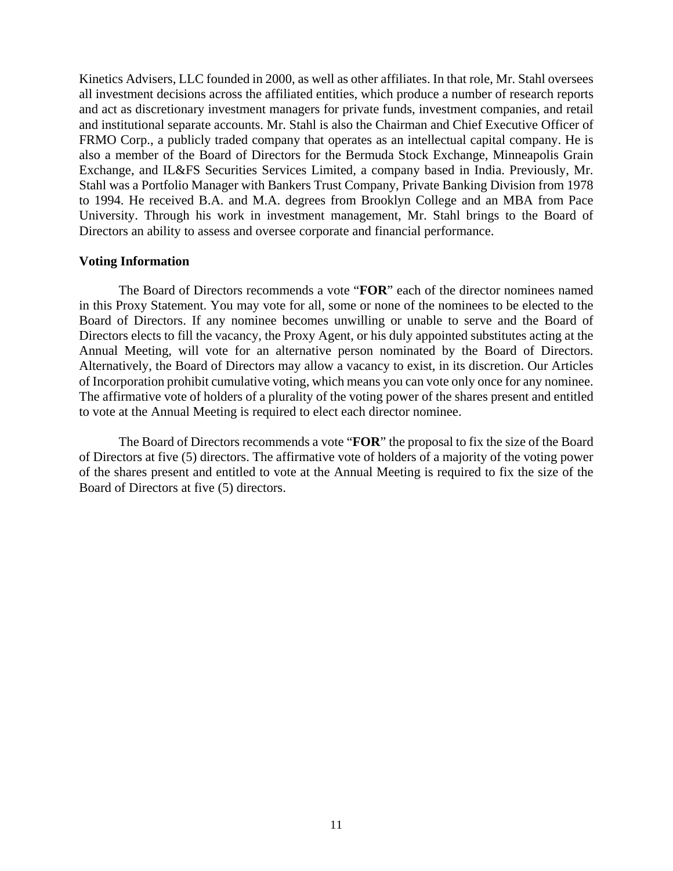Kinetics Advisers, LLC founded in 2000, as well as other affiliates. In that role, Mr. Stahl oversees all investment decisions across the affiliated entities, which produce a number of research reports and act as discretionary investment managers for private funds, investment companies, and retail and institutional separate accounts. Mr. Stahl is also the Chairman and Chief Executive Officer of FRMO Corp., a publicly traded company that operates as an intellectual capital company. He is also a member of the Board of Directors for the Bermuda Stock Exchange, Minneapolis Grain Exchange, and IL&FS Securities Services Limited, a company based in India. Previously, Mr. Stahl was a Portfolio Manager with Bankers Trust Company, Private Banking Division from 1978 to 1994. He received B.A. and M.A. degrees from Brooklyn College and an MBA from Pace University. Through his work in investment management, Mr. Stahl brings to the Board of Directors an ability to assess and oversee corporate and financial performance.

### **Voting Information**

The Board of Directors recommends a vote "**FOR**" each of the director nominees named in this Proxy Statement. You may vote for all, some or none of the nominees to be elected to the Board of Directors. If any nominee becomes unwilling or unable to serve and the Board of Directors elects to fill the vacancy, the Proxy Agent, or his duly appointed substitutes acting at the Annual Meeting, will vote for an alternative person nominated by the Board of Directors. Alternatively, the Board of Directors may allow a vacancy to exist, in its discretion. Our Articles of Incorporation prohibit cumulative voting, which means you can vote only once for any nominee. The affirmative vote of holders of a plurality of the voting power of the shares present and entitled to vote at the Annual Meeting is required to elect each director nominee.

The Board of Directors recommends a vote "**FOR**" the proposal to fix the size of the Board of Directors at five (5) directors. The affirmative vote of holders of a majority of the voting power of the shares present and entitled to vote at the Annual Meeting is required to fix the size of the Board of Directors at five (5) directors.